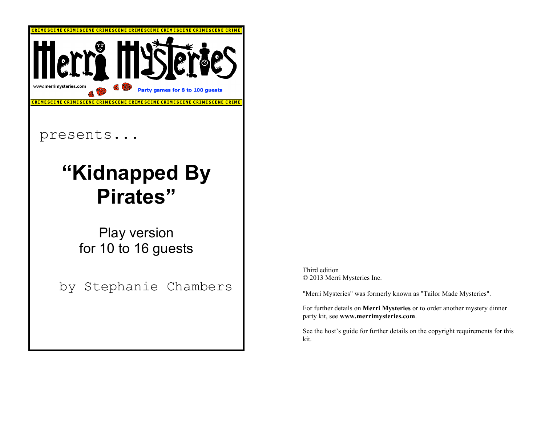

Third edition © 2013 Merri Mysteries Inc.

"Merri Mysteries" was formerly known as "Tailor Made Mysteries".

For further details on **Merri Mysteries** or to order another mystery dinner party kit, see **www.merrimysteries.com**.

See the host's guide for further details on the copyright requirements for this kit.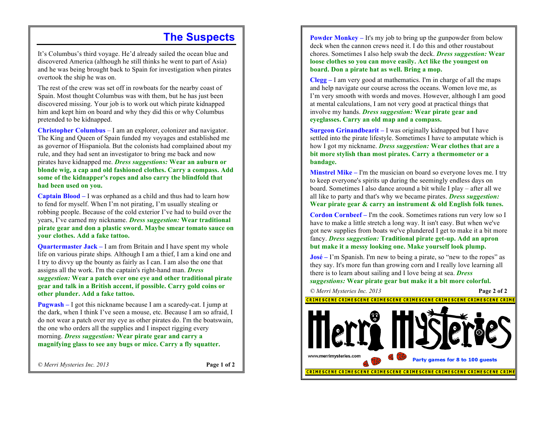#### **The Suspects**

It's Columbus's third voyage. He'd already sailed the ocean blue and discovered America (although he still thinks he went to part of Asia) and he was being brought back to Spain for investigation when pirates overtook the ship he was on.

The rest of the crew was set off in rowboats for the nearby coast of Spain. Most thought Columbus was with them, but he has just been discovered missing. Your job is to work out which pirate kidnapped him and kept him on board and why they did this or why Columbus pretended to be kidnapped.

**Christopher Columbus** *–* I am an explorer, colonizer and navigator. The King and Queen of Spain funded my voyages and established me as governor of Hispaniola. But the colonists had complained about my rule, and they had sent an investigator to bring me back and now pirates have kidnapped me. *Dress suggestions:* **Wear an auburn or blonde wig, a cap and old fashioned clothes. Carry a compass. Add some of the kidnapper's ropes and also carry the blindfold that had been used on you.**

**Captain Blood –** I was orphaned as a child and thus had to learn how to fend for myself. When I'm not pirating, I'm usually stealing or robbing people. Because of the cold exterior I've had to build over the years, I've earned my nickname. *Dress suggestion:* **Wear traditional pirate gear and don a plastic sword. Maybe smear tomato sauce on your clothes. Add a fake tattoo.**

**Quartermaster Jack** – I am from Britain and I have spent my whole life on various pirate ships*.* Although I am a thief, I am a kind one and I try to divvy up the bounty as fairly as I can. I am also the one that assigns all the work. I'm the captain's right-hand man. *Dress* 

*suggestion:* **Wear a patch over one eye and other traditional pirate gear and talk in a British accent, if possible. Carry gold coins or other plunder. Add a fake tattoo.**

**Pugwash –** I got this nickname because I am a scaredy-cat. I jump at the dark, when I think I've seen a mouse, etc. Because I am so afraid, I do not wear a patch over my eye as other pirates do. I'm the boatswain, the one who orders all the supplies and I inspect rigging every morning. *Dress suggestion:* **Wear pirate gear and carry a magnifying glass to see any bugs or mice. Carry a fly squatter.**

*© Merri Mysteries Inc. 2013* **Page 1 of 2**

**Powder Monkey** – It's my job to bring up the gunpowder from below deck when the cannon crews need it. I do this and other roustabout chores. Sometimes I also help swab the deck. *Dress suggestion:* **Wear loose clothes so you can move easily. Act like the youngest on board. Don a pirate hat as well. Bring a mop.**

**Clegg –** I am very good at mathematics. I'm in charge of all the maps and help navigate our course across the oceans. Women love me, as I'm very smooth with words and moves. However, although I am good at mental calculations, I am not very good at practical things that involve my hands. *Dress suggestion:* **Wear pirate gear and eyeglasses. Carry an old map and a compass.**

**Surgeon Grinandbearit –** I was originally kidnapped but I have settled into the pirate lifestyle. Sometimes I have to amputate which is how I got my nickname. *Dress suggestion:* **Wear clothes that are a bit more stylish than most pirates. Carry a thermometer or a bandage.**

**Minstrel Mike –** I'm the musician on board so everyone loves me. I try to keep everyone's spirits up during the seemingly endless days on board. Sometimes I also dance around a bit while I play – after all we all like to party and that's why we became pirates. *Dress suggestion:* **Wear pirate gear & carry an instrument & old English folk tunes.**

**Cordon Cornbeef –** I'm the cook. Sometimes rations run very low so I have to make a little stretch a long way. It isn't easy. But when we've got new supplies from boats we've plundered I get to make it a bit more fancy. *Dress suggestion:* **Traditional pirate get-up. Add an apron but make it a messy looking one. Make yourself look plump.**

**José –** I'm Spanish. I'm new to being a pirate, so "new to the ropes" as they say. It's more fun than growing corn and I really love learning all there is to learn about sailing and I love being at sea. *Dress suggestions:* **Wear pirate gear but make it a bit more colorful.**

*© Merri Mysteries Inc. 2013* **Page 2 of 2** <u>CRIMESCENE CRIMESCENE CRIMESCENE CRIMESCENE CRIMESCENE CRIMESCENE CRIMI</u> www.merrimysteries.com Party games for 8 to 100 guests CRIMESCENE CRIMESCENE CRIMESCENE CRIMESCENE CRIMESCENE CRIMESCENE CRIM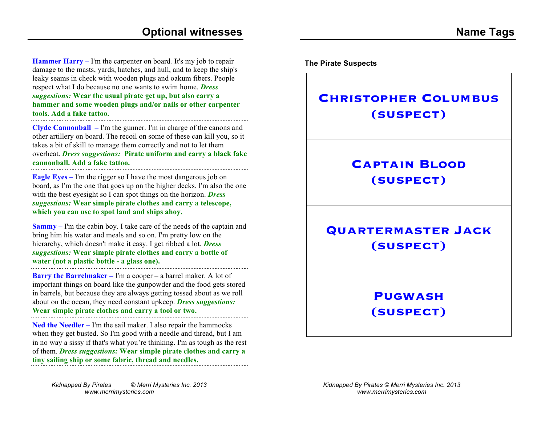**Hammer Harry –** I'm the carpenter on board*.* It's my job to repair damage to the masts, yards, hatches, and hull, and to keep the ship's leaky seams in check with wooden plugs and oakum fibers. People respect what I do because no one wants to swim home. *Dress suggestions:* **Wear the usual pirate get up, but also carry a hammer and some wooden plugs and/or nails or other carpenter tools. Add a fake tattoo.**

**Clyde Cannonball –** I'm the gunner. I'm in charge of the canons and other artillery on board. The recoil on some of these can kill you, so it takes a bit of skill to manage them correctly and not to let them overheat. *Dress suggestions:* **Pirate uniform and carry a black fake cannonball. Add a fake tattoo.**

**Eagle Eyes –** I'm the rigger so I have the most dangerous job on board, as I'm the one that goes up on the higher decks. I'm also the one with the best eyesight so I can spot things on the horizon. *Dress suggestions:* **Wear simple pirate clothes and carry a telescope, which you can use to spot land and ships ahoy.**

**Sammy –** I'm the cabin boy. I take care of the needs of the captain and bring him his water and meals and so on. I'm pretty low on the hierarchy, which doesn't make it easy. I get ribbed a lot. *Dress suggestions:* **Wear simple pirate clothes and carry a bottle of water (not a plastic bottle - a glass one).**

**Barry the Barrelmaker** – I'm a cooper – a barrel maker. A lot of important things on board like the gunpowder and the food gets stored in barrels, but because they are always getting tossed about as we roll about on the ocean, they need constant upkeep. *Dress suggestions:*  **Wear simple pirate clothes and carry a tool or two.**

**Ned the Needler –** I'm the sail maker. I also repair the hammocks when they get busted. So I'm good with a needle and thread, but I am in no way a sissy if that's what you're thinking. I'm as tough as the rest of them. *Dress suggestions:* **Wear simple pirate clothes and carry a tiny sailing ship or some fabric, thread and needles.**

**The Pirate Suspects**

**Captain Blood (suspect)**

**Christopher Columbus**

**(suspect)**

**Quartermaster Jack (suspect)**

#### **Pugwash (suspect)**

*Kidnapped By Pirates © Merri Mysteries Inc. 2013 www.merrimysteries.com*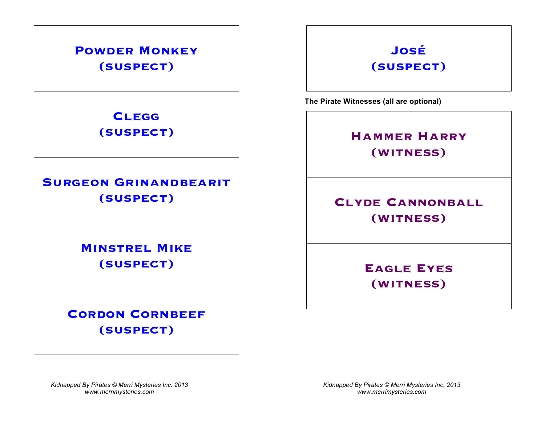#### **Powder Monkey (suspect)**

**Clegg (suspect)**

**SURGEON GRINANDBEARIT (suspect)**

> **Minstrel Mike (suspect)**

**CORDON CORNBEEF (suspect)**

## **José (suspect)**

**The Pirate Witnesses (all are optional)**

## **Hammer Harry (witness)**

## **CLYDE CANNONBALL (witness)**

**Eagle Eyes (witness)**

*Kidnapped By Pirates © Merri Mysteries Inc. 2013 www.merrimysteries.com*

*Kidnapped By Pirates © Merri Mysteries Inc. 2013 www.merrimysteries.com*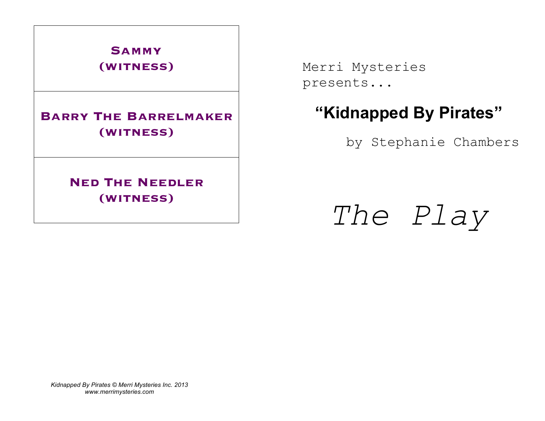

#### **Barry The Barrelmaker (witness)**

**Ned The Needler (witness)**

Merri Mysteries presents...

# **"Kidnapped By Pirates"**

by Stephanie Chambers

*The Play*

*Kidnapped By Pirates © Merri Mysteries Inc. 2013 www.merrimysteries.com*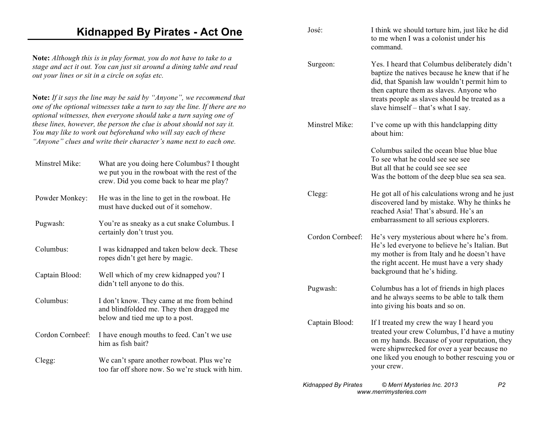#### **Kidnapped By Pirates - Act One**

**Note:** *Although this is in play format, you do not have to take to a stage and act it out. You can just sit around a dining table and read out your lines or sit in a circle on sofas etc.*

**Note:** *If it says the line may be said by "Anyone", we recommend that one of the optional witnesses take a turn to say the line. If there are no optional witnesses, then everyone should take a turn saying one of these lines, however, the person the clue is about should not say it. You may like to work out beforehand who will say each of these "Anyone" clues and write their character's name next to each one.*

| Minstrel Mike:   | What are you doing here Columbus? I thought<br>we put you in the rowboat with the rest of the<br>crew. Did you come back to hear me play? |
|------------------|-------------------------------------------------------------------------------------------------------------------------------------------|
| Powder Monkey:   | He was in the line to get in the rowboat. He<br>must have ducked out of it somehow.                                                       |
| Pugwash:         | You're as sneaky as a cut snake Columbus. I<br>certainly don't trust you.                                                                 |
| Columbus:        | I was kidnapped and taken below deck. These<br>ropes didn't get here by magic.                                                            |
| Captain Blood:   | Well which of my crew kidnapped you? I<br>didn't tell anyone to do this.                                                                  |
| Columbus:        | I don't know. They came at me from behind<br>and blindfolded me. They then dragged me<br>below and tied me up to a post.                  |
| Cordon Cornbeef: | I have enough mouths to feed. Can't we use<br>him as fish bait?                                                                           |
| Clegg:           | We can't spare another rowboat. Plus we're<br>too far off shore now. So we're stuck with him.                                             |

| José:            | I think we should torture him, just like he did<br>to me when I was a colonist under his<br>command                                                                                                                                                                                 |
|------------------|-------------------------------------------------------------------------------------------------------------------------------------------------------------------------------------------------------------------------------------------------------------------------------------|
| Surgeon:         | Yes. I heard that Columbus deliberately didn't<br>baptize the natives because he knew that if he<br>did, that Spanish law wouldn't permit him to<br>then capture them as slaves. Anyone who<br>treats people as slaves should be treated as a<br>slave himself – that's what I say. |
| Minstrel Mike:   | I've come up with this handclapping ditty<br>about him:                                                                                                                                                                                                                             |
|                  | Columbus sailed the ocean blue blue blue<br>To see what he could see see see<br>But all that he could see see see<br>Was the bottom of the deep blue sea sea sea.                                                                                                                   |
| Clegg:           | He got all of his calculations wrong and he just<br>discovered land by mistake. Why he thinks he<br>reached Asia! That's absurd. He's an<br>embarrassment to all serious explorers.                                                                                                 |
| Cordon Cornbeef: | He's very mysterious about where he's from.<br>He's led everyone to believe he's Italian. But<br>my mother is from Italy and he doesn't have<br>the right accent. He must have a very shady<br>background that he's hiding.                                                         |
| Pugwash:         | Columbus has a lot of friends in high places<br>and he always seems to be able to talk them<br>into giving his boats and so on.                                                                                                                                                     |
| Captain Blood:   | If I treated my crew the way I heard you<br>treated your crew Columbus, I'd have a mutiny<br>on my hands. Because of your reputation, they                                                                                                                                          |

your crew.

were shipwrecked for over a year because no one liked you enough to bother rescuing you or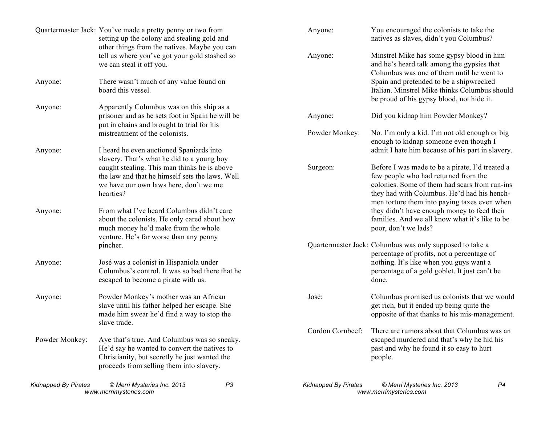| Kidnapped By Pirates | © Merri Mysteries Inc. 2013<br>www.merrimysteries.com                                                                                                                                                | P <sub>3</sub> | <b>Kidnapped By Pirates</b> | P4<br>© Merri Mysteries Inc. 2013<br>www.merrimysteries.com                                                                                                                                                 |
|----------------------|------------------------------------------------------------------------------------------------------------------------------------------------------------------------------------------------------|----------------|-----------------------------|-------------------------------------------------------------------------------------------------------------------------------------------------------------------------------------------------------------|
| Powder Monkey:       | Aye that's true. And Columbus was so sneaky.<br>He'd say he wanted to convert the natives to<br>Christianity, but secretly he just wanted the<br>proceeds from selling them into slavery.            |                | Cordon Cornbeef:            | There are rumors about that Columbus was an<br>escaped murdered and that's why he hid his<br>past and why he found it so easy to hurt<br>people.                                                            |
| Anyone:              | Powder Monkey's mother was an African<br>slave until his father helped her escape. She<br>made him swear he'd find a way to stop the<br>slave trade.                                                 |                | José:                       | Columbus promised us colonists that we would<br>get rich, but it ended up being quite the<br>opposite of that thanks to his mis-management.                                                                 |
| Anyone:              | pincher.<br>José was a colonist in Hispaniola under<br>Columbus's control. It was so bad there that he<br>escaped to become a pirate with us.                                                        |                |                             | Quartermaster Jack: Columbus was only supposed to take a<br>percentage of profits, not a percentage of<br>nothing. It's like when you guys want a<br>percentage of a gold goblet. It just can't be<br>done. |
| Anyone:              | From what I've heard Columbus didn't care<br>about the colonists. He only cared about how<br>much money he'd make from the whole<br>venture. He's far worse than any penny                           |                |                             | men torture them into paying taxes even when<br>they didn't have enough money to feed their<br>families. And we all know what it's like to be<br>poor, don't we lads?                                       |
|                      | slavery. That's what he did to a young boy<br>caught stealing. This man thinks he is above<br>the law and that he himself sets the laws. Well<br>we have our own laws here, don't we me<br>hearties? |                | Surgeon:                    | Before I was made to be a pirate, I'd treated a<br>few people who had returned from the<br>colonies. Some of them had scars from run-ins<br>they had with Columbus. He'd had his hench-                     |
| Anyone:              | I heard he even auctioned Spaniards into                                                                                                                                                             |                |                             | enough to kidnap someone even though I<br>admit I hate him because of his part in slavery.                                                                                                                  |
|                      | prisoner and as he sets foot in Spain he will be<br>put in chains and brought to trial for his<br>mistreatment of the colonists.                                                                     |                | Anyone:<br>Powder Monkey:   | Did you kidnap him Powder Monkey?<br>No. I'm only a kid. I'm not old enough or big                                                                                                                          |
| Anyone:<br>Anyone:   | There wasn't much of any value found on<br>board this vessel.<br>Apparently Columbus was on this ship as a                                                                                           |                |                             | Spain and pretended to be a shipwrecked<br>Italian. Minstrel Mike thinks Columbus should<br>be proud of his gypsy blood, not hide it.                                                                       |
|                      | other things from the natives. Maybe you can<br>tell us where you've got your gold stashed so<br>we can steal it off you.                                                                            |                | Anyone:                     | Minstrel Mike has some gypsy blood in him<br>and he's heard talk among the gypsies that<br>Columbus was one of them until he went to                                                                        |
|                      | Quartermaster Jack: You've made a pretty penny or two from<br>setting up the colony and stealing gold and                                                                                            |                | Anyone:                     | You encouraged the colonists to take the<br>natives as slaves, didn't you Columbus?                                                                                                                         |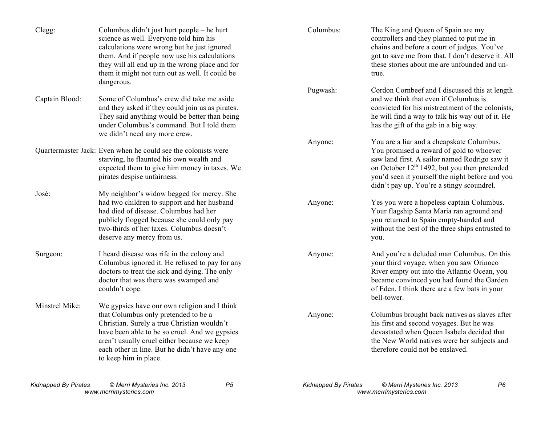| Clegg:         | Columbus didn't just hurt people – he hurt<br>science as well. Everyone told him his<br>calculations were wrong but he just ignored<br>them. And if people now use his calculations<br>they will all end up in the wrong place and for<br>them it might not turn out as well. It could be<br>dangerous.        | Columbus:           | The King and Queen of Spain are my<br>controllers and they planned to put me in<br>chains and before a court of judges. You've<br>got to save me from that. I don't deserve it. All<br>these stories about me are unfounded and un-<br>true.                                          |
|----------------|----------------------------------------------------------------------------------------------------------------------------------------------------------------------------------------------------------------------------------------------------------------------------------------------------------------|---------------------|---------------------------------------------------------------------------------------------------------------------------------------------------------------------------------------------------------------------------------------------------------------------------------------|
| Captain Blood: | Some of Columbus's crew did take me aside<br>and they asked if they could join us as pirates.<br>They said anything would be better than being<br>under Columbus's command. But I told them<br>we didn't need any more crew.                                                                                   | Pugwash:<br>Anyone: | Cordon Cornbeef and I discussed this at length<br>and we think that even if Columbus is<br>convicted for his mistreatment of the colonists,<br>he will find a way to talk his way out of it. He<br>has the gift of the gab in a big way.<br>You are a liar and a cheapskate Columbus. |
|                | Quartermaster Jack: Even when he could see the colonists were<br>starving, he flaunted his own wealth and<br>expected them to give him money in taxes. We<br>pirates despise unfairness.                                                                                                                       |                     | You promised a reward of gold to whoever<br>saw land first. A sailor named Rodrigo saw it<br>on October $12th 1492$ , but you then pretended<br>you'd seen it yourself the night before and you<br>didn't pay up. You're a stingy scoundrel.                                          |
| José:          | My neighbor's widow begged for mercy. She<br>had two children to support and her husband<br>had died of disease. Columbus had her<br>publicly flogged because she could only pay<br>two-thirds of her taxes. Columbus doesn't<br>deserve any mercy from us.                                                    | Anyone:             | Yes you were a hopeless captain Columbus.<br>Your flagship Santa Maria ran aground and<br>you returned to Spain empty-handed and<br>without the best of the three ships entrusted to<br>you.                                                                                          |
| Surgeon:       | I heard disease was rife in the colony and<br>Columbus ignored it. He refused to pay for any<br>doctors to treat the sick and dying. The only<br>doctor that was there was swamped and<br>couldn't cope.                                                                                                       | Anyone:             | And you're a deluded man Columbus. On this<br>your third voyage, when you saw Orinoco<br>River empty out into the Atlantic Ocean, you<br>became convinced you had found the Garden<br>of Eden. I think there are a few bats in your<br>bell-tower.                                    |
| Minstrel Mike: | We gypsies have our own religion and I think<br>that Columbus only pretended to be a<br>Christian. Surely a true Christian wouldn't<br>have been able to be so cruel. And we gypsies<br>aren't usually cruel either because we keep<br>each other in line. But he didn't have any one<br>to keep him in place. | Anyone:             | Columbus brought back natives as slaves after<br>his first and second voyages. But he was<br>devastated when Queen Isabela decided that<br>the New World natives were her subjects and<br>therefore could not be enslaved.                                                            |